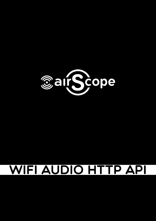

# WIFI AUDIO HTTP API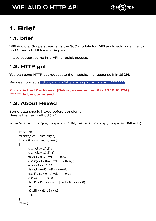

# **1. Brief**

### **1.1. brief**

Wifi Audio airScope streamer is the SoC module for WiFi audio solutions, it support Smartlink, DLNA and Airplay.

It also support some http API for quick access.

### **1.2. HTTP get**

You can send HTTP get request to the module, the response if in JSON.

Request format is http://x.x.x.x/httpapi.asp?command=\*\*\*\*\*\*\*\*\*

**X.x.x.x is the IP address, (Below, assume the IP is 10.10.10.254) \*\*\*\*\*\*\* is the command.**

### **1.3. About Hexed**

Some data should hexed before transfer it. Here is the hex method (in C):

int hex2ascii(const char \*pSrc, unsigned char \* pDst, unsigned int nSrcLength, unsigned int nDstLength) {

```
int i, j = 0;
memset(pDst, 0, nDstLength);
for (i = 0; i<sub>snS</sub> resolution (i + 2){ 
        char val1 = pSrc[i];
        char val2 = pSrc[i+1];
        if(val1 > 0x60) val1 - - = 0x57;
        else if(val1 > 0x40) val1 - - = 0x37; ;
        else val1 - 1 = 0 \times 30;
        if( val2 > 0x60) val2 - - = 0x57;
        else if(val2 > 0x40) val2 - - = 0x37;
        else val2 - 2 = 0 \times 30;
        if(val1 > 15 || val2 > 15 || val1 < 0 || val2 < 0)
         return 0;
        pDst[i] = val1*16 + val2; j++;
} 
return j;
```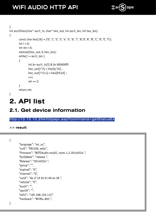

```
} 
int ascii2hex(char* ascii_in, char* hex_out, int ascii_len, int hex_len)
{ 
        const char hex[16] = \{ '0', '1', '2', '3', '4', '5', '6', '7', '8', '9', 'A', 'B', 'C', 'D', 'E', 'F' \};int i = 0;
        int ret = 0:
        memset(hex_out, 0, hex_len);
        while( i < ascii_len )
        { 
                 int b = \arcsin\sin[i] & 0x 000000ff;
                 hex_out[i*2] = hex[b/16];
                 hex out[i*2+1] = hex[b\%16] ;
                 ++i:
                 ret += 2;} 
        return ret;
}
```
# **2. API list**

### **2.1. Get device information**

#### <http://10.10.10.254/httpapi.asp?command=getStatusEx>

**>> result**:

```
{
```

```
"language": "en_us",
"ssid": "FA5100_a4dc",
"firmware": "WIFIAudio.multil_room.1.2.20140324 ",
"builddate": "release ",
"Release": "20140324 ",
"group": "",
"expired": "0",
"internet": "0",
"uuid": "de cf 1d 2e b1 60 e4 38 ",
"netstat": "0",
"essid": "",
"apcli0": "",
"eth2": "192.168.120.112",
"hardware": "WiiMu-A03 ",
```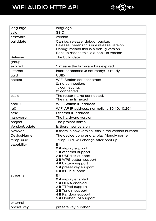

| language           | language                                                                                                                                                                           |
|--------------------|------------------------------------------------------------------------------------------------------------------------------------------------------------------------------------|
| ssid               | <b>SSID</b>                                                                                                                                                                        |
| firmware           | version                                                                                                                                                                            |
| builddate          | Can be: release, debug, backup<br>Release: means this is a release version<br>Debug: means this is a debug version<br>Backup means this is a backup version                        |
| Release            | The build date                                                                                                                                                                     |
| group              |                                                                                                                                                                                    |
| expired            | 1 means the firmware has expired                                                                                                                                                   |
| internet           | Internet access: 0: not ready; 1: ready                                                                                                                                            |
| uuid               | <b>UUID</b>                                                                                                                                                                        |
| netstat            | <b>WIFI Station connect state:</b><br>0: no connection;<br>1: connecting;<br>2: connected                                                                                          |
| essid              | The router name connected.<br>The name is hexed                                                                                                                                    |
| apcli <sub>0</sub> | <b>WIFI Station IP address</b>                                                                                                                                                     |
| ra <sub>0</sub>    | WiFi AP IP address, normally is 10.10.10.254                                                                                                                                       |
| eth <sub>2</sub>   | Ethernet IP address                                                                                                                                                                |
| hardware           | The hardware version                                                                                                                                                               |
| project            | The project name                                                                                                                                                                   |
| VersionUpdate      | Is there new version.                                                                                                                                                              |
| <b>NewVer</b>      | If there is new version, this is the version number.                                                                                                                               |
| DeviceName         | The device upnp and airplay friendly name                                                                                                                                          |
| temp uuid          | Temp uuid, will change after boot up                                                                                                                                               |
| capability         | Bit:<br>0 if airplay support<br>1 if ethernet support<br>2 if USBdisk support<br>3 if WPS button support<br>4 if battery support<br>5 if preset key support<br>6 if I2S in support |
| streams            | Bit:<br>0 if airplay enabled<br>1 if DLNA enabled<br>2 if TTPod support<br>3 if Tuneln support<br>4 if Pandora support<br>5 if DoubanFM support                                    |
| external           |                                                                                                                                                                                    |
| preset key         | presets key number                                                                                                                                                                 |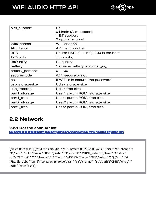

| plm support      | Bit:<br>0 Lineln (Aux support)<br>1 BT support<br>2 optical support |
|------------------|---------------------------------------------------------------------|
| WifiChannel      | WiFi channel                                                        |
| AP clients       | AP client number                                                    |
| <b>RSSI</b>      | Router RSSI (0 $\sim$ 100), 100 is the best                         |
| <b>TxQuality</b> | Tx quality,                                                         |
| <b>RxQuality</b> | Rx quality                                                          |
| battery          | 1 means battery is in charging                                      |
| battery percent  | $0 - 100$                                                           |
| securemode       | WiFi secure or not                                                  |
| psk              | If WiFi is in secure, the password                                  |
| usb storagesize  | Udisk storage size                                                  |
| usb freesize     | Udisk free size                                                     |
| part1_storage    | User1 part in ROM, storage size                                     |
| part1 free       | User1 part in ROM, free size                                        |
| part2 storage    | User2 part in ROM, storage size                                     |
| part2 free       | User2 part in ROM, free size                                        |

### **2.2 Network**

**2.2.1 Get the scan AP list** <http://10.10.10.254/httpapi.asp?command=wlanGetApListEx>

{"res":"0","aplist":[{"ssid":"wmmAudio\_a7b8","bssid":"00:22:6c:00:a7:b8","rssi":"76","channel": "1","auth":"OPEN","encry":"NONE","extch":"1"},{"ssid":"WIIMU\_Network","bssid":"20:dc:e6: cb:7e:78","rssi":"70","channel":"11","auth":"WPA2PSK","encry":"AES","extch":"0"},{"ssid":"W IFIAudio\_29b0","bssid":"00:22:6c:16:29:b0","rssi":"65","channel":"11","auth":"OPEN","encry":" NONE","extch":"0"}]}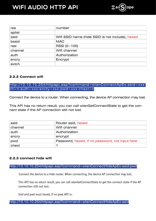

| res     | number                                           |
|---------|--------------------------------------------------|
| aplist  |                                                  |
| ssid    | Wifi SSID name (hide SSID is not include), hexed |
| bssid   | <b>MAC</b>                                       |
| rssi    | RSSI $(0 - 100)$                                 |
| channel | Wifi channel                                     |
| auth    | Authorization                                    |
| encry   | Encrypt                                          |
| extch   |                                                  |

#### **2.2.2 Connect wifi**

[http://10.10.10.254/httpapi.asp?command=wlanConnectApEx:ssid=xxx:](http://10.10.10.254/httpapi.asp?command=wlanConnectApEx:ssid=xxx:ch=n:auth=xxx:encty=xxx:pwd=xxx:chext=n) [ch=n:auth=xxx:encty=xxx:pwd=xxx:chext=n](http://10.10.10.254/httpapi.asp?command=wlanConnectApEx:ssid=xxx:ch=n:auth=xxx:encty=xxx:pwd=xxx:chext=n)

Connect the device to a router. When connecting, the device AP connection may lost.

This API has no return result, you can call wlanGetConnectState to get the connect state if the AP connection still not lost.

| ssid    | Router ssid, hexed                              |
|---------|-------------------------------------------------|
| channel | Wifi channel                                    |
| auth    | Authorization                                   |
| encry   | encrypt                                         |
| pwd     | Passowrd, hexed, if no password, not input here |
| chext   |                                                 |

#### **2.2.3 connect hide wifi**

<http://10.10.10.254/httpapi.asp?command=wlanConnectHideApEx:ssid:pwd>

Connect the device to a hide router. When connecting, the device AP connection may lost.

This API has no return result, you can call wlanGetConnectState to get the connect state if the AP connection still not lost.

Ssid and pwd must hexed, if no pwd, API is:

<http://10.10.10.254/httpapi.asp?command=wlanConnectHideApEx:ssid>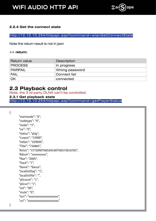

#### **2.2.4 Get the connect state**

<http://10.10.10.254/httpapi.asp?command=wlanGetConnectState>

Note the return result is not in json

#### **>> return:**

| Return value    | Description    |
|-----------------|----------------|
| PROCESS         | In progress    |
| <b>PAIRFAIL</b> | Wrong password |
| <b>FAIL</b>     | Connect fail   |
| OK              | connected      |

### **2.3 Playback control**

Note, the 3 rd party DLNA can't be controlled.

**2.3.1 Get playback state** <http://10.10.10.254/httpapi.asp?command=getPlayerStatus>

{

```
"mainmode": "0",
"nodetype": "0",
"mode": "3",
"sw": "0",
"status": "play",
"curpos": "12900",
"totlen": "229000",
"Title": "736865",
"Artist": "47726f6f766520436f766572616765",
"Album": "xxxxxxxxxx",
"Year": "2005",
"Track": "7",
"Genre": "Dance",
"locallistflag": "1",
"locallistfile": "",
"plicount": "1",
"plicurr": "1",
"vol": "90",
"mute": "0",
"iuri": "xxxxxxxxxxxxxxxxxxxxx",
"uri": "xxxxxxxxxxxxxxxxxxxxxx"
```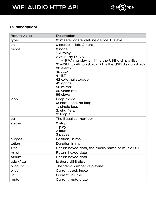

#### **>> description:**

| <b>Return value</b> | Description                                                                                                                                                                                                                                                               |
|---------------------|---------------------------------------------------------------------------------------------------------------------------------------------------------------------------------------------------------------------------------------------------------------------------|
| type                | 0: master or standalone device 1: slave                                                                                                                                                                                                                                   |
| ch                  | 0 stereo, 1 left, 2 right                                                                                                                                                                                                                                                 |
| mode                | 0 none<br>1 Airplay<br>2 3rd party DLNA<br>$11$ ~19 Wiimu playlist, 11 is the USB disk playlist<br>$21 - 29$ Http API playback, 21 is the USB disk playback<br>30 alarm<br>40 AUX<br>41 BT<br>42 external storage<br>43 optical<br>50 mirror<br>60 voice mail<br>99 slave |
| loop                | Loop mode:<br>0: sequence, no loop<br>1: single loop<br>2: shuffle all<br>3: loop all                                                                                                                                                                                     |
| eq                  | The Equalizer number                                                                                                                                                                                                                                                      |
| status              | 0 stop<br>1 play<br>2 load<br>3 pause                                                                                                                                                                                                                                     |
| curpos              | Position, in ms                                                                                                                                                                                                                                                           |
| totlen              | Duration in ms                                                                                                                                                                                                                                                            |
| Title               | Return hexed data, the music name or music URL                                                                                                                                                                                                                            |
| Artist              | Return hexed data                                                                                                                                                                                                                                                         |
| Album               | Return hexed data                                                                                                                                                                                                                                                         |
| udsikflag           | Is there USB disk                                                                                                                                                                                                                                                         |
| plicount            | The track number of playlist                                                                                                                                                                                                                                              |
| plicurr             | <b>Current track index</b>                                                                                                                                                                                                                                                |
| vol                 | <b>Current volume</b>                                                                                                                                                                                                                                                     |
| mute                | Current mute state                                                                                                                                                                                                                                                        |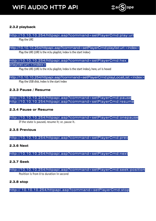

#### **2.3.2 playback**

### <http://10.10.10.254/httpapi.asp?command=setPlayerCmd:play:uri>

Play the URI

#### <http://10.10.10.254/httpapi.asp?command=setPlayerCmd:playlist:uri:<index>>

Play the URI (URI is the m3u playlist, index is the start index)

#### http://10.10.10.254/httpapi.asp?command=setPlayerCmd:hex [playlist:uri:<index>](http://10.10.10.254/httpapi.asp?command=setPlayerCmd:hex_playlist:uri:<index>)

Play the URI (URI is the m3u playlist, index is the start index), here, uri is hexed

#### <http://10.10.10.254/httpapi.asp?command=setPlayerCmd:playLocalList:<index>>

Play the USB disk, index is the start index

#### **2.3.3 Pause / Resume**

<http://10.10.10.254/httpapi.asp?command=setPlayerCmd:pause> <http://10.10.10.254/httpapi.asp?command=setPlayerCmd:resume>

#### **2.3.4 Pause or Resume**

<http://10.10.10.254/httpapi.asp?command=setPlayerCmd:onepause> If the state is paused, resume it; or, pause it.

#### **2.3.5 Previous**

<http://10.10.10.254/httpapi.asp?command=setPlayerCmd:prev>

**2.3.6 Next**

<http://10.10.10.254/httpapi.asp?command=setPlayerCmd:next>

#### **2.3.7 Seek**

<http://10.10.10.254/httpapi.asp?command=setPlayerCmd:seek:position> Position is from 0 to duration in second

#### **2.3.8 stop**

<http:// 10.10.10.254/httpapi.asp?command=setPlayerCmd:stop>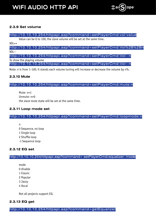

#### **2.3.9 Set volume**

[http://10.10.10.254/httpapi.asp?command=setPlayerCmd:vol:value](http://10.10.10.254/httpapi.asp?command=setPlayerCmd:vol:valuePlayerCmd:vol:value)

Value can be 0 to 100, the slave volume will be set at the same time.

VOL++

<http://10.10.10.254/httpapi.asp?command=setPlayerCmd:Vol%2B%2Bn> VOL--

<http://10.10.10.254/httpapi.asp?command=setPlayerCmd:Vol--n> To show the playing volume

<http://10.10.10.254/httpapi.asp?command=setPlayerCmd:Vol--n>

Note: n is from 1-100, it stands each volume tuning will increase or decrease the volume by n%.

#### **2.3.10 Mute**

#### <http://10.10.10.254/httpapi.asp?command=setPlayerCmd:mute:n>

Mute: n=1 Unmute: n=0 the slave mute state will be set at the same time.

#### **2.3.11 Loop mode set**

#### <http://10.10.10.254/httpapi.asp?command=setPlayerCmd:loopmode:n>

- n
- 0 Sequence, no loop
- 1 Single loop
- 2 Shuffle loop
- -1 Sequence loop

#### **2.3.12 EQ set**

#### <http://10.10.10.254/httpapi.asp?command= setPlayerCmd:equalizer: mode>

- mode
- 0 disable
- 1 Classic
- 2 Popular
- 3 Jazzy
- 4 Vocal

Not all projects support EQ.

#### **2.3.13 EQ get**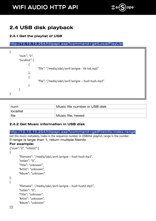

### **2.4 USB disk playback**

#### **2.4.1 Get the playlist of USB**

```
http://10.10.10.254/httpapi.asp?command=getLocalPlayList
```

| "num": "2",    |                                                     |
|----------------|-----------------------------------------------------|
| "locallist": [ |                                                     |
|                |                                                     |
|                | "file": "/media/sda1/avril lavigne - tik tok.mp3"   |
|                |                                                     |
|                |                                                     |
|                | "file": "/media/sda1/avril lavigne - hush hush.mp3" |
|                |                                                     |
|                |                                                     |
|                |                                                     |

| num              | Music file number in USB disk |
|------------------|-------------------------------|
| <b>locallist</b> |                               |
| file             | Music file, hexed             |

#### **2.4.2 Get Music information in USB disk**

#### <http://10.10.10.254/httpapi.asp?command=getFileInfo:index:range>

Get the music metadata, index is the sequence number in USBDisk playlist, range is the number If range is large than 1, return multiple fileinfo

#### **For example:**

```
{"num":"2", "infolist":[
{
       "filename": "/media/sda1/avril lavigne – hush hush.mp3",
       "totlen": "0",
       "Title": "unknown",
       "Artist": "unknown",
       "Album": "unknown"
},
{
       "filename": "/media/sda1/avril lavigne – hush hush2.mp3",
       "totlen": "0",
       "Title": "unknown",
       "Artist": "unknown",
       "Album": "unknown"
```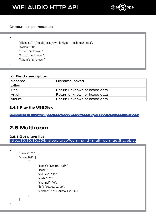

#### Or return single metadata

```
{
       "filename": "/media/sda1/avril lavigne – hush hush.mp3",
       "totlen": "0",
       "Title": "unknown",
       "Artist": "unknown",
       "Album": "unknown"
}
```
#### **>> Field description:**

| filename     | Filename, hexed              |
|--------------|------------------------------|
| totlen       |                              |
| Title        | Return unknown or hexed data |
| Artist       | Return unknown or hexed data |
| <b>Album</b> | Return unknown or hexed data |

#### **2.4.3 Play the USBDisk**

<http://10.10.10.254/httpapi.asp?command=setPlayerCmd:playLocalList:index>

### **2.6 Multiroom**

#### **2.6.1 Get slave list** <http://10.10.10.254/httpapi.asp?command=multiroom:getSlaveList>

```
{
      "slaves": "1",
      "slave_list": [
\{ "name": "FA5100_a3f4",
                     "mask": "0",
                     "volume": "90",
                     "mute": "0",
                     "channel": "0",
                     "ip": "10.10.10.100",
                     "version": "WIFIAudio.1.2.2321"
 }
      ]
}
```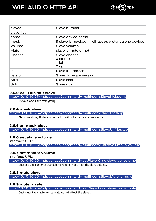

| slaves      | Slave number                                            |
|-------------|---------------------------------------------------------|
| slave list  |                                                         |
| name        | Slave device name                                       |
| mask        | If slave is masked, it will act as a standalone device. |
| Volume      | Slave volume                                            |
| Mute        | slave is mute or not                                    |
| Channel     | Slave channel:<br>0 stereo<br>1 left<br>2 right         |
| ip          | Slave IP address                                        |
| version     | Slave firmware version                                  |
| <b>Ssid</b> | Slave ssid                                              |
| <b>Uuid</b> | Slave uuid                                              |

#### **2.6.2 2.6.3 kickout slave**

<http://10.10.10.254/httpapi.asp?command=multiroom:SlaveKickout:ip>

Kickout one slave from group.

#### **2.6.4 mask slave**

<http://10.10.10.254/httpapi.asp?command=multiroom:SlaveMask:ip>

Mask one slave, If slave is masked, it will act as a standalone device.

#### **2.6.5 un-mask slave**

<http://10.10.10.254/httpapi.asp?command=multiroom:SlaveUnMask:ip>

#### **2.6.6 set slave volume**

interface URL:

<http://10.10.10.254/httpapi.asp?command=multiroom:SlaveVolume:ip:volume>

#### **2.6.7 set master volume**

interface URL:

[http://10.10.10.254/httpapi.asp?command=setPlayerCmd:slave\\_vol:volume](http://10.10.10.254/httpapi.asp?command=setPlayerCmd:slave_vol:volume)

Just set the master or standalone volume, not affect the slave volume.

#### **2.6.8 mute slave**

<http://10.10.10.254/httpapi.asp?command=multiroom:SlaveMute:ip:mute>

#### **2.6.9 mute master**

[http://10.10.10.254/httpapi.asp?command=setPlayerCmd:slave\\_mute:mute](http://10.10.10.254/httpapi.asp?command=setPlayerCmd:slave_mute:mute)

Just mute the master or standalone, not affect the slave .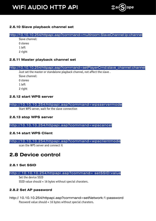

#### **2.6.10 Slave playback channel set**

<http://10.10.10.254/httpapi.asp?command=multiroom:SlaveChannel:ip:channel>

- Slave channel: 0 stereo 1 left
- 2 right

#### **2.6.11 Master playback channel set**

[http://10.10.10.254/httpapi.asp?command=setPlayerCmd:slave\\_channel:channel](http://10.10.10.254/httpapi.asp?command=setPlayerCmd:slave_channel:channel)

Just set the master or standalone playback channel, not affect the slave . Slave channel: 0 stereo

- 1 left
- 2 right
- 

#### **2.6.12 start WPS server**

#### <http://10.10.10.254/httpapi.asp?command=wpsservermode>

Start WPS server, wait for the slave connection

#### **2.6.13 stop WPS server**

<http://10.10.10.254/httpapi.asp?command=wpscancel>

#### **2.6.14 start WPS Client**

<http://10.10.10.254/httpapi.asp?command=wpsclientmode>

scan the WPS server and connect it

### **2.8 Device control**

#### **2.8.1 Set SSID**

#### <http:// 10.10.10.254/httpapi.asp?command= setSSID:value>

Set the device SSID SSID value should < 16 bytes without special charaters.

#### **2.8.2 Set AP password**

[http:// 10.10.10.254/httpapi.asp?command=setNetwork:1:password](http:// 10.10.10.254/httpapi.asp?command=setNetwork:1:password
) Password value should < 16 bytes without special charaters.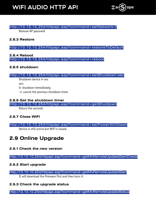

#### <http://10.10.10.254/httpapi.asp?command=setNetwork:0>

Remove AP passowrd

#### **2.8.3 Restore**

#### <http://10.10.10.254/httpapi.asp?command=restoreToDefault>

#### **2.8.4 Reboot** <http://10.10.10.254/httpapi.asp?command=reboot>

#### **2.8.5 shutdown**

#### <http://10.10.10.254/httpapi.asp?command=setShutdown:sec>

Shutdown device in sec sec: 0: shutdown immediately

-1: cancel the previous shutdown timer

#### **2.8.6 Get the shutdown timer**

<http://10.10.10.254/httpapi.asp?command=getShutdown>

Return the seconds

#### **2.8.7 Close WIFI**

#### <http://10.10.10.254/httpapi.asp?command=setPowerWifiDown> Device is still active but Wifi is closed.

### **2.9 Online Upgrade**

#### **2.9.1 Check the new version**

<http://10.10.10.254/httpapi.asp?command=getMvRemoteUpdateStartCheck>

#### **2.9.2 Start upgrade**

#### <http://10.10.10.254/httpapi.asp?command=getMvRemoteUpdateStart>

It will download the firmware first and then burn it.

#### **2.9.3 Check the upgrade status**

<http://10.10.10.254/httpapi.asp?command=getMvRemoteUpdateStatus>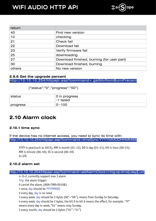

| return |                                            |
|--------|--------------------------------------------|
| 40     | Find new version                           |
| 10     | checking                                   |
| 21     | Check fail                                 |
| 22     | Download fail                              |
| 23     | Verify firmware fail                       |
| 25     | downloading                                |
| 27     | Download finished, burning (for user part) |
| 30     | Download finished, burning                 |
| others | No new version                             |

#### **2.9.6 Get the upgrade percent** <http://10.10.10.254/httpapi.asp?command= getMvRomBurnPrecent>

{"status":"0","progress":"50"}

| ˈstatus  | 0 in progress<br>-1 failed |
|----------|----------------------------|
| progress | $0 - 100$                  |

### **2.10 Alarm clock**

#### **2.10.1 time sync**

If the device has no internet access, you need to sync its time with: <http://10.10.10.254/httpapi.asp?command=timeSync:YYYYMMDDHHMMSS>

YYYY is year(such as 2015), MM is month (01~12), DD is day (01~31), HH is hour (00~23), MM is minute (00~59), SS is second (00~59) In UTC

#### **2.10.2 alarm set**

| http://10.10.10.254/httpapi.asp?command=setAlarmClock:n:trig:op:time[:day][:url]            |
|---------------------------------------------------------------------------------------------|
| n: 0~2, currently support max 3 alarm                                                       |
| Trig: the alarm trigger:                                                                    |
| 0 cancel the alarm, (AXX+TMR+S010&)                                                         |
| 1 once, day should be YYYYMMDD                                                              |
| 2 every day, day is no need                                                                 |
| 3 every week, day should be 2 bytes (00"~"06"), means from Sunday to Saturday.              |
| 4 every week, day should be 2 bytes, the bit 0 to bit 6 means the effect, for example, "7F" |
| means every day in week, "01" means only Sunday.                                            |
| 5 every month, day should be 2 bytes ("01"~"31")                                            |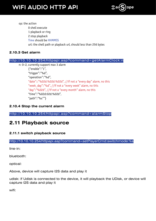

op: the action 0 shell execute 1 playback or ring 2 stop playback Time should be HHMMSS url: the shell path or playback url, should less than 256 bytes

#### **2.10.3 Get alarm**

| http://10.10.10.254/httpapi.asp?command=getAlarmClock:n         |
|-----------------------------------------------------------------|
| n: 0~2, currently support max 3 alarm                           |
| ${$ "enable":"1",                                               |
| "triqqer":"%d",                                                 |
| "operation":"%d",                                               |
| "date"::"%02d:%02d:%02d", //if not a "every day" alarm, no this |
| "week_day":"%d", //if not a "every week" alarm, no this         |
| "day":"%02d", //if not a "every month" alarm, no this           |
| "time":"%02d:02d:%02d",                                         |
| "path":"%s""}                                                   |
|                                                                 |

#### **2.10.4 Stop the current alarm**

<http://10.10.10.254/httpapi.asp?command=alarmStop>

### **2.11 Playback source**

#### **2.11.1 switch playback source**

<http://10.10.10.254/httpapi.asp?command=setPlayerCmd:switchmode:%s>

line-in:

bluetooth:

optical:

Above, device will capture I2S data and play it

udisk: if Udisk is connected to the device, it will playback the UDisk, or device will capture I2S data and play it

wifi: